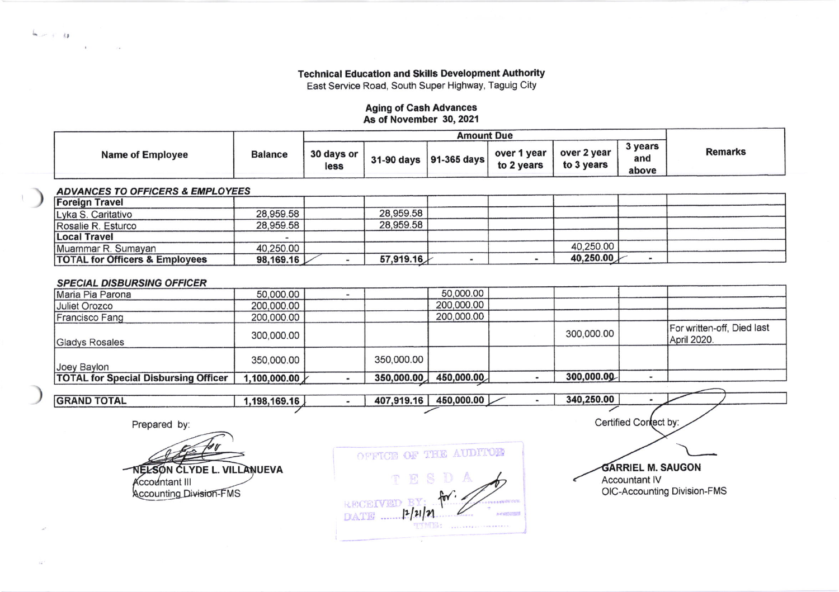## **Technical Education and Skills Development Authority**

East Service Road, South Super Highway, Taguig City

# **Aging of Cash Advances** As of November 30, 2021

|                         |                |                    | Amount Due                |                           |                           |                         |                |
|-------------------------|----------------|--------------------|---------------------------|---------------------------|---------------------------|-------------------------|----------------|
| <b>Name of Employee</b> | <b>Balance</b> | 30 days or<br>less | 31-90 days $ 91-365$ days | over 1 year<br>to 2 years | over 2 year<br>to 3 years | 3 years<br>and<br>above | <b>Remarks</b> |

#### **ADVANCES TO OFFICERS & EMPLOYEES**

| <b>Foreign Travel</b>                     |            |           |  |           |  |
|-------------------------------------------|------------|-----------|--|-----------|--|
| Lyka S. Caritativo                        | 28,959.58  | 28,959.58 |  |           |  |
| Rosalie R. Esturco                        | 28,959.58  | 28,959.58 |  |           |  |
| <b>Local Travel</b>                       |            |           |  |           |  |
| Muammar R. Sumayan                        | 40,250.00  |           |  | 40,250.00 |  |
| <b>TOTAL for Officers &amp; Employees</b> | 98,169.16L | 57,919.16 |  | 40,250.00 |  |

### **SPECIAL DISBURSING OFFICER**

| Maria Pia Parona                            | 50,000.00    |            | 50,000.00  |            |                                           |
|---------------------------------------------|--------------|------------|------------|------------|-------------------------------------------|
| Juliet Orozco                               | 200,000.00   |            | 200,000.00 |            |                                           |
| Francisco Fang                              | 200,000.00   |            | 200,000.00 |            |                                           |
| Gladys Rosales                              | 300,000.00   |            |            | 300,000.00 | For written-off, Died last<br>April 2020. |
| Joey Baylon                                 | 350,000.00   | 350,000.00 |            |            |                                           |
| <b>TOTAL for Special Disbursing Officer</b> | 1,100,000.00 | 350,000.00 | 450,000.00 | 300,000.00 |                                           |
|                                             |              |            |            |            |                                           |

| <b>GRAND TOTA'</b> | 169.16<br>108 | $40^-$<br>919.16 | 450,000.00 |  | 250.00<br>340 |  |  |
|--------------------|---------------|------------------|------------|--|---------------|--|--|
|                    |               |                  |            |  |               |  |  |

Prepared by:

-NELSON CLYDE L. VILLANUEVA **Accountant III Accounting Division-FMS** 

OFFICE OF THE AUDITOR TES RECEIVED  $12/21/2$ DATE ......

Certified Correct by:

**GARRIEL M. SAUGON Accountant IV** OIC-Accounting Division-FMS

 $\sim$